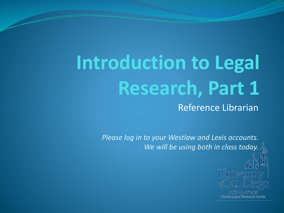# **Introduction to Legal Research, Part 1**

Reference Librarian

*Please log in to your Westlaw and Lexis accounts. We will be using both in class today.*



SCHOOL OF LAW Pardee Legal Research Center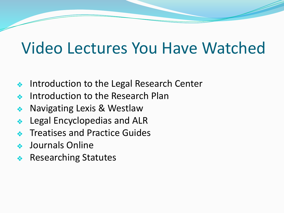#### Video Lectures You Have Watched

- ❖ Introduction to the Legal Research Center
- Introduction to the Research Plan
- ❖ Navigating Lexis & Westlaw
- ❖ Legal Encyclopedias and ALR
- ❖ Treatises and Practice Guides
- ❖ Journals Online
- ❖ Researching Statutes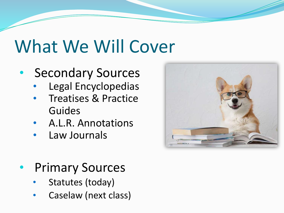## What We Will Cover

#### • Secondary Sources

- Legal Encyclopedias
- Treatises & Practice Guides
- A.L.R. Annotations
- Law Journals



- Primary Sources
	- Statutes (today)
	- Caselaw (next class)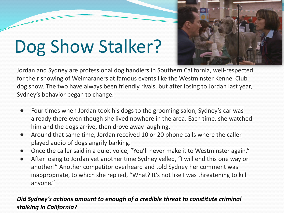# Dog Show Stalker?



- Four times when Jordan took his dogs to the grooming salon, Sydney's car was already there even though she lived nowhere in the area. Each time, she watched him and the dogs arrive, then drove away laughing.
- Around that same time, Jordan received 10 or 20 phone calls where the caller played audio of dogs angrily barking.
- Once the caller said in a quiet voice, "You'll never make it to Westminster again."
- After losing to Jordan yet another time Sydney yelled, "I will end this one way or another!" Another competitor overheard and told Sydney her comment was inappropriate, to which she replied, "What? It's not like I was threatening to kill anyone."

#### *Did Sydney's actions amount to enough of a credible threat to constitute criminal stalking in California?*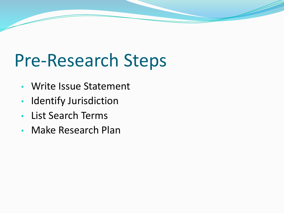# Pre-Research Steps

- Write Issue Statement
- Identify Jurisdiction
- List Search Terms
- Make Research Plan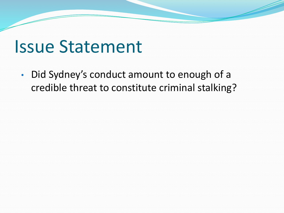#### Issue Statement

• Did Sydney's conduct amount to enough of a credible threat to constitute criminal stalking?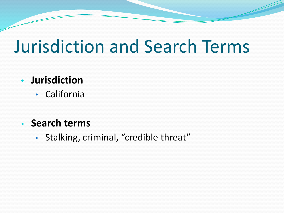### Jurisdiction and Search Terms

#### **• Jurisdiction**

• California

#### **• Search terms**

• Stalking, criminal, "credible threat"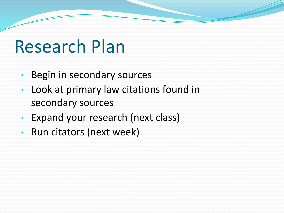### Research Plan

- Begin in secondary sources
- Look at primary law citations found in secondary sources
- Expand your research (next class)
- Run citators (next week)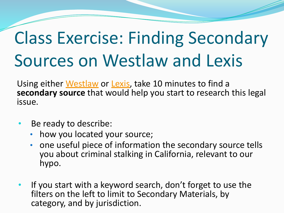# Class Exercise: Finding Secondary Sources on Westlaw and Lexis

Using either [Westlaw](https://1.next.westlaw.com/Search/Home.html?transitionType=Default&contextData=(sc.Default)&bhcp=1) or [Lexis](https://plus.lexis.com/zhome?crid=993bf975-5630-436d-b101-c580e267de3f), take 10 minutes to find a **secondary source** that would help you start to research this legal issue.

- Be ready to describe:
	- how you located your source;
	- one useful piece of information the secondary source tells you about criminal stalking in California, relevant to our hypo.
- If you start with a keyword search, don't forget to use the filters on the left to limit to Secondary Materials, by category, and by jurisdiction.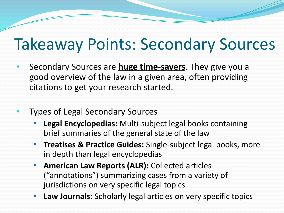#### Takeaway Points: Secondary Sources

- Secondary Sources are **huge time-savers**. They give you a good overview of the law in a given area, often providing citations to get your research started.
- Types of Legal Secondary Sources
	- **• Legal Encyclopedias:** Multi-subject legal books containing brief summaries of the general state of the law
	- **• Treatises & Practice Guides:** Single-subject legal books, more in depth than legal encyclopedias
	- **• American Law Reports (ALR):** Collected articles ("annotations") summarizing cases from a variety of jurisdictions on very specific legal topics
	- **• Law Journals:** Scholarly legal articles on very specific topics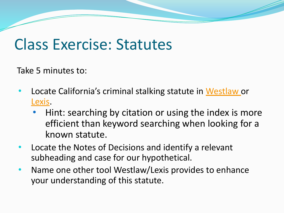#### Class Exercise: Statutes

Take 5 minutes to:

- Locate California's criminal stalking statute in [Westlaw o](https://www.westlaw.com/Document/N71ADFC3083B111DC828EC052D3B59944/View/FullText.html?transitionType=Default&contextData=(sc.Default)&VR=3.0&RS=cblt1.0)r [Lexis.](https://plus.lexis.com/api/permalink/24f10a54-2889-459c-8a43-c9cfdec3476c/?context=1530671)
	- Hint: searching by citation or using the index is more efficient than keyword searching when looking for a known statute.
- Locate the Notes of Decisions and identify a relevant subheading and case for our hypothetical.
- Name one other tool Westlaw/Lexis provides to enhance your understanding of this statute.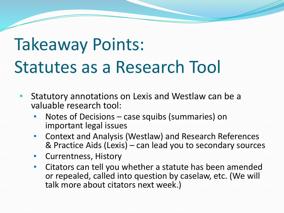# Takeaway Points: Statutes as a Research Tool

- Statutory annotations on Lexis and Westlaw can be a valuable research tool:
	- Notes of Decisions case squibs (summaries) on important legal issues
	- Context and Analysis (Westlaw) and Research References & Practice Aids (Lexis) – can lead you to secondary sources
	- Currentness, History
	- Citators can tell you whether a statute has been amended or repealed, called into question by caselaw, etc. (We will talk more about citators next week.)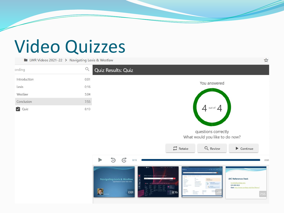## Video Quizzes

**LWR Videos 2021-22 > Navigating Lexis & Westlaw** 



\*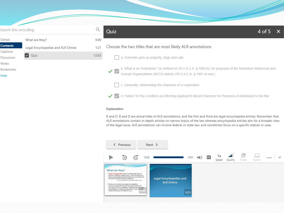| Search this recording      |                                    |       | 4 of 5<br>Quiz                                                                                                                                                                                     |
|----------------------------|------------------------------------|-------|----------------------------------------------------------------------------------------------------------------------------------------------------------------------------------------------------|
| Details                    | What are they?                     | 0:00  |                                                                                                                                                                                                    |
| <b>Contents</b>            | Legal Encyclopedias and ALR Online | 1:21  | Choose the two titles that are most likely ALR annotations                                                                                                                                         |
| Captions<br>Discussion     | <b>Quiz</b>                        | 12:02 | a. Domestic pets as property; dogs and cats                                                                                                                                                        |
| Notes<br>Bookmarks<br>Hide |                                    |       | b. What is an "enterprise," as defined at 18 U.S.C.A. § 1961(4), for purposes of the Racketeer Influenced and<br>$\checkmark$<br>Corrupt Organizations (RICO) statute (18 U.S.C.A. § 1961 et seq.) |
|                            |                                    |       | c. Generally; determining the character of a corporation                                                                                                                                           |

√ d. Failure To Pay Creditors as Affecting Applicant's Moral Character for Purposes of Admission to the Bar

 $\boldsymbol{\times}$ 

#### Explanation

 $\overline{\phantom{a}}$ 

B and D. B and D are actual titles of ALR annotations, and the first and third are legal encyclopedia entries. Remember that ALR annotations contain in-depth articles on narrow topics of the law whereas encyclopedia articles aim for a broader view of the legal issue. ALR annotations can involve federal or state law, and sometimes focus on a specific statute or case.

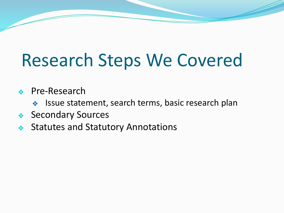# Research Steps We Covered

#### ❖ Pre-Research

- ❖ Issue statement, search terms, basic research plan
- ❖ Secondary Sources
- ❖ Statutes and Statutory Annotations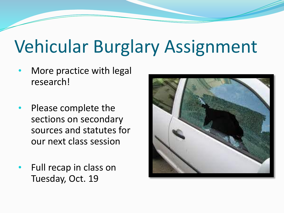# Vehicular Burglary Assignment

- More practice with legal research!
- Please complete the sections on secondary sources and statutes for our next class session
- Full recap in class on Tuesday, Oct. 19